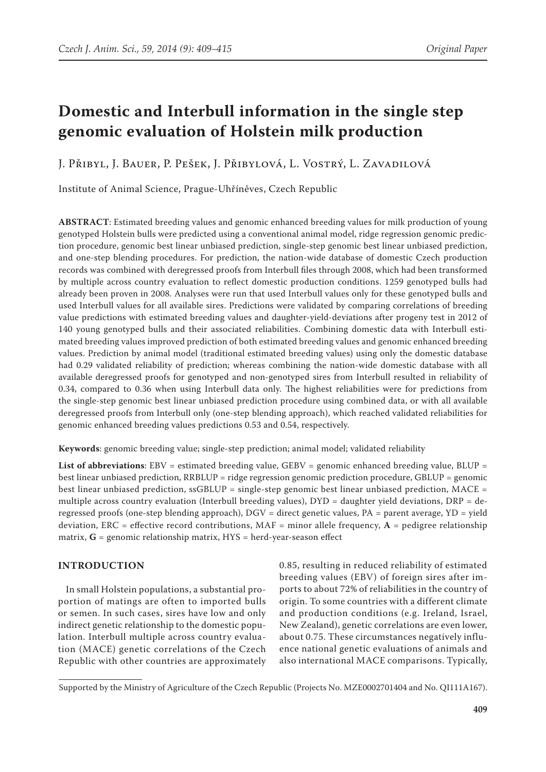# **Domestic and Interbull information in the single step genomic evaluation of Holstein milk production**

J. Přibyl, J. Bauer, P. Pešek, J. Přibylová, L. Vostrý, L. Zavadilová

Institute of Animal Science, Prague-Uhříněves, Czech Republic

**ABSTRACT**: Estimated breeding values and genomic enhanced breeding values for milk production of young genotyped Holstein bulls were predicted using a conventional animal model, ridge regression genomic prediction procedure, genomic best linear unbiased prediction, single-step genomic best linear unbiased prediction, and one-step blending procedures. For prediction, the nation-wide database of domestic Czech production records was combined with deregressed proofs from Interbull files through 2008, which had been transformed by multiple across country evaluation to reflect domestic production conditions. 1259 genotyped bulls had already been proven in 2008. Analyses were run that used Interbull values only for these genotyped bulls and used Interbull values for all available sires. Predictions were validated by comparing correlations of breeding value predictions with estimated breeding values and daughter-yield-deviations after progeny test in 2012 of 140 young genotyped bulls and their associated reliabilities. Combining domestic data with Interbull estimated breeding values improved prediction of both estimated breeding values and genomic enhanced breeding values. Prediction by animal model (traditional estimated breeding values) using only the domestic database had 0.29 validated reliability of prediction; whereas combining the nation-wide domestic database with all available deregressed proofs for genotyped and non-genotyped sires from Interbull resulted in reliability of 0.34, compared to 0.36 when using Interbull data only. The highest reliabilities were for predictions from the single-step genomic best linear unbiased prediction procedure using combined data, or with all available deregressed proofs from Interbull only (one-step blending approach), which reached validated reliabilities for genomic enhanced breeding values predictions 0.53 and 0.54, respectively.

**Keywords**: genomic breeding value; single-step prediction; animal model; validated reliability

**List of abbreviations**: EBV = estimated breeding value, GEBV = genomic enhanced breeding value, BLUP = best linear unbiased prediction, RRBLUP = ridge regression genomic prediction procedure, GBLUP = genomic best linear unbiased prediction, ssGBLUP = single-step genomic best linear unbiased prediction, MACE = multiple across country evaluation (Interbull breeding values),  $DYD =$  daughter yield deviations,  $DRP =$  deregressed proofs (one-step blending approach), DGV = direct genetic values, PA = parent average, YD = yield deviation,  $ERC = effective record contributions, MAF = minor allele frequency, A = pedigree relationship$ matrix,  $G =$  genomic relationship matrix,  $HYS =$  herd-year-season effect

## **INTRODUCTION**

In small Holstein populations, a substantial proportion of matings are often to imported bulls or semen. In such cases, sires have low and only indirect genetic relationship to the domestic population. Interbull multiple across country evaluation (MACE) genetic correlations of the Czech Republic with other countries are approximately 0.85, resulting in reduced reliability of estimated breeding values (EBV) of foreign sires after imports to about 72% of reliabilities in the country of origin. To some countries with a different climate and production conditions (e.g. Ireland, Israel, New Zealand), genetic correlations are even lower, about 0.75. These circumstances negatively influence national genetic evaluations of animals and also international MACE comparisons. Typically,

Supported by the Ministry of Agriculture of the Czech Republic (Projects No. MZE0002701404 and No. QI111A167).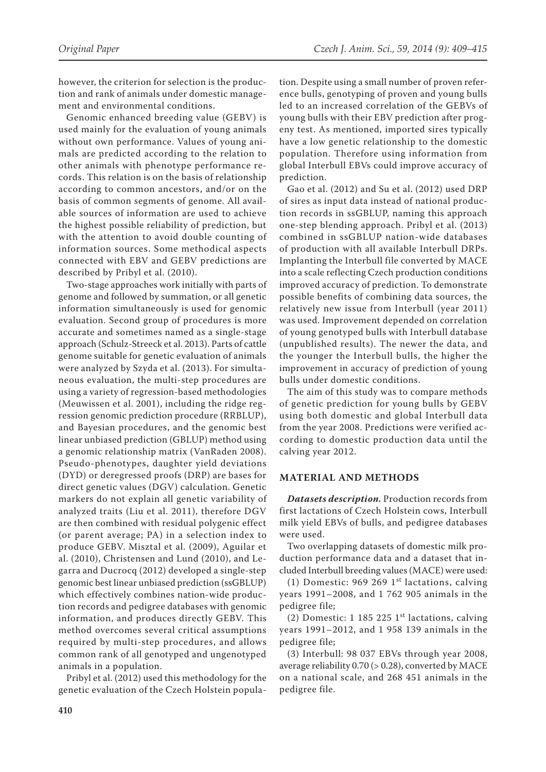however, the criterion for selection is the production and rank of animals under domestic management and environmental conditions.

Genomic enhanced breeding value (GEBV) is used mainly for the evaluation of young animals without own performance. Values of young animals are predicted according to the relation to other animals with phenotype performance records. This relation is on the basis of relationship according to common ancestors, and/or on the basis of common segments of genome. All available sources of information are used to achieve the highest possible reliability of prediction, but with the attention to avoid double counting of information sources. Some methodical aspects connected with EBV and GEBV predictions are described by Pribyl et al. (2010).

Two-stage approaches work initially with parts of genome and followed by summation, or all genetic information simultaneously is used for genomic evaluation. Second group of procedures is more accurate and sometimes named as a single-stage approach (Schulz-Streeck et al. 2013). Parts of cattle genome suitable for genetic evaluation of animals were analyzed by Szyda et al. (2013). For simultaneous evaluation, the multi-step procedures are using a variety of regression-based methodologies (Meuwissen et al. 2001), including the ridge regression genomic prediction procedure (RRBLUP), and Bayesian procedures, and the genomic best linear unbiased prediction (GBLUP) method using a genomic relationship matrix (VanRaden 2008). Pseudo-phenotypes, daughter yield deviations (DYD) or deregressed proofs (DRP) are bases for direct genetic values (DGV) calculation. Genetic markers do not explain all genetic variability of analyzed traits (Liu et al. 2011), therefore DGV are then combined with residual polygenic effect (or parent average; PA) in a selection index to produce GEBV. Misztal et al. (2009), Aguilar et al. (2010), Christensen and Lund (2010), and Legarra and Ducrocq (2012) developed a single-step genomic best linear unbiased prediction (ssGBLUP) which effectively combines nation-wide production records and pedigree databases with genomic information, and produces directly GEBV. This method overcomes several critical assumptions required by multi-step procedures, and allows common rank of all genotyped and ungenotyped animals in a population.

Pribyl et al. (2012) used this methodology for the genetic evaluation of the Czech Holstein popula-

tion. Despite using a small number of proven reference bulls, genotyping of proven and young bulls led to an increased correlation of the GEBVs of young bulls with their EBV prediction after progeny test. As mentioned, imported sires typically have a low genetic relationship to the domestic population. Therefore using information from global Interbull EBVs could improve accuracy of prediction.

Gao et al. (2012) and Su et al. (2012) used DRP of sires as input data instead of national production records in ssGBLUP, naming this approach one-step blending approach. Pribyl et al. (2013) combined in ssGBLUP nation-wide databases of production with all available Interbull DRPs. Implanting the Interbull file converted by MACE into a scale reflecting Czech production conditions improved accuracy of prediction. To demonstrate possible benefits of combining data sources, the relatively new issue from Interbull (year 2011) was used. Improvement depended on correlation of young genotyped bulls with Interbull database (unpublished results). The newer the data, and the younger the Interbull bulls, the higher the improvement in accuracy of prediction of young bulls under domestic conditions.

The aim of this study was to compare methods of genetic prediction for young bulls by GEBV using both domestic and global Interbull data from the year 2008. Predictions were verified according to domestic production data until the calving year 2012.

## **MATERIAL AND METHODS**

*Datasets description.* Production records from first lactations of Czech Holstein cows, Interbull milk yield EBVs of bulls, and pedigree databases were used.

Two overlapping datasets of domestic milk production performance data and a dataset that included Interbull breeding values (MACE) were used:

(1) Domestic: 969 269  $1<sup>st</sup>$  lactations, calving years 1991–2008, and 1 762 905 animals in the pedigree file;

(2) Domestic:  $1\,185\,225\,1<sup>st</sup>$  lactations, calving years 1991–2012, and 1 958 139 animals in the pedigree file;

(3) Interbull: 98 037 EBVs through year 2008, average reliability 0.70 (> 0.28), converted by MACE on a national scale, and 268 451 animals in the pedigree file.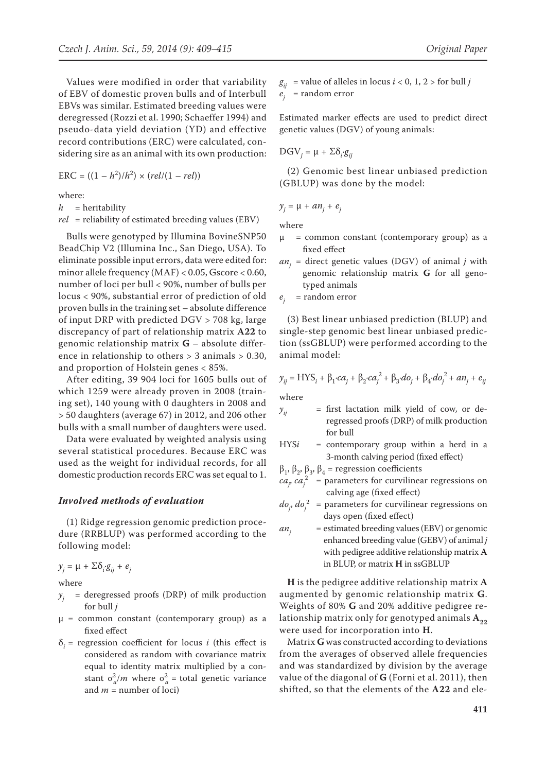Values were modified in order that variability of EBV of domestic proven bulls and of Interbull EBVs was similar. Estimated breeding values were deregressed (Rozzi et al. 1990; Schaeffer 1994) and pseudo-data yield deviation (YD) and effective record contributions (ERC) were calculated, considering sire as an animal with its own production:

 $ERC = ((1 - h^2)/h^2) \times (rel/(1 - rel))$ 

where:

 $h$  = heritability

*rel* = reliability of estimated breeding values (EBV)

Bulls were genotyped by Illumina BovineSNP50 BeadChip V2 (Illumina Inc., San Diego, USA). To eliminate possible input errors, data were edited for: minor allele frequency (MAF) < 0.05, Gscore < 0.60, number of loci per bull < 90%, number of bulls per locus < 90%, substantial error of prediction of old proven bulls in the training set – absolute difference of input DRP with predicted DGV > 708 kg, large discrepancy of part of relationship matrix **A22** to genomic relationship matrix **G** – absolute difference in relationship to others > 3 animals > 0.30, and proportion of Holstein genes < 85%.

After editing, 39 904 loci for 1605 bulls out of which 1259 were already proven in 2008 (training set), 140 young with 0 daughters in 2008 and > 50 daughters (average 67) in 2012, and 206 other bulls with a small number of daughters were used.

Data were evaluated by weighted analysis using several statistical procedures. Because ERC was used as the weight for individual records, for all domestic production records ERC was set equal to 1.

#### *Involved methods of evaluation*

(1) Ridge regression genomic prediction procedure (RRBLUP) was performed according to the following model:

*yj* = μ + Σδ*<sup>i</sup>* ∙*gij + ej*

where

- $y_i$  = deregressed proofs (DRP) of milk production for bull *j*
- $\mu$  = common constant (contemporary group) as a fixed effect
- $\delta_i$  = regression coefficient for locus *i* (this effect is considered as random with covariance matrix equal to identity matrix multiplied by a constant  $\sigma_a^2/m$  where  $\sigma_a^2$  = total genetic variance and *m* = number of loci)

 $g_{ii}$  = value of alleles in locus *i* < 0, 1, 2 > for bull *j ej* = random error

Estimated marker effects are used to predict direct genetic values (DGV) of young animals:

$$
DGV_j = \mu + \Sigma \delta_i \, g_{ij}
$$

(2) Genomic best linear unbiased prediction (GBLUP) was done by the model:

$$
y_j = \mu + a n_j + e_j
$$

where

- $\mu$  = common constant (contemporary group) as a fixed effect
- $an_i$  = direct genetic values (DGV) of animal *j* with genomic relationship matrix **G** for all genotyped animals

*ej* = random error

(3) Best linear unbiased prediction (BLUP) and single-step genomic best linear unbiased prediction (ssGBLUP) were performed according to the animal model:

$$
y_{ij} = HYS_i + \beta_1 \cdot ca_j + \beta_2 \cdot ca_j^2 + \beta_3 \cdot do_j + \beta_4 \cdot do_j^2 + an_j + e_{ij}
$$

where

- $y_{ii}$  = first lactation milk yield of cow, or deregressed proofs (DRP) of milk production for bull
- HYS*i* = contemporary group within a herd in a 3-month calving period (fixed effect)

 $β_1$ ,  $β_2$ ,  $β_3$ ,  $β_4$  = regression coefficients

- $ca_j, ca_j^2$  = parameters for curvilinear regressions on calving age (fixed effect)
- *doj* , *doj* parameters for curvilinear regressions on days open (fixed effect)
- *an<sub>i</sub>* = estimated breeding values (EBV) or genomic enhanced breeding value (GEBV) of animal *j* with pedigree additive relationship matrix **A** in BLUP, or matrix **H** in ssGBLUP

**H** is the pedigree additive relationship matrix **A**  augmented by genomic relationship matrix **G**. Weights of 80% **G** and 20% additive pedigree relationship matrix only for genotyped animals  $A_{22}$ were used for incorporation into **H**.

Matrix **G** was constructed according to deviations from the averages of observed allele frequencies and was standardized by division by the average value of the diagonal of **G** (Forni et al. 2011), then shifted, so that the elements of the **A22** and ele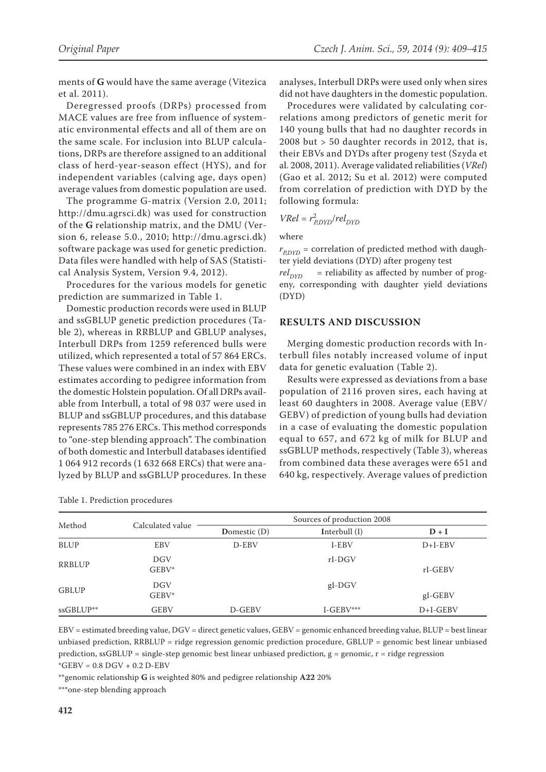ments of **G** would have the same average (Vitezica et al. 2011).

Deregressed proofs (DRPs) processed from MACE values are free from influence of systematic environmental effects and all of them are on the same scale. For inclusion into BLUP calculations, DRPs are therefore assigned to an additional class of herd-year-season effect (HYS), and for independent variables (calving age, days open) average values from domestic population are used.

The programme G-matrix (Version 2.0, 2011; http://dmu.agrsci.dk) was used for construction of the **G** relationship matrix, and the DMU (Version 6, release 5.0., 2010; http://dmu.agrsci.dk) software package was used for genetic prediction. Data files were handled with help of SAS (Statistical Analysis System, Version 9.4, 2012).

Procedures for the various models for genetic prediction are summarized in Table 1.

Domestic production records were used in BLUP and ssGBLUP genetic prediction procedures (Table 2), whereas in RRBLUP and GBLUP analyses, Interbull DRPs from 1259 referenced bulls were utilized, which represented a total of 57 864 ERCs. These values were combined in an index with EBV estimates according to pedigree information from the domestic Holstein population. Of all DRPs available from Interbull, a total of 98 037 were used in BLUP and ssGBLUP procedures, and this database represents 785 276 ERCs. This method corresponds to "one-step blending approach". The combination of both domestic and Interbull databases identified 1 064 912 records (1 632 668 ERCs) that were analyzed by BLUP and ssGBLUP procedures. In these

| Table 1. Prediction procedures |  |
|--------------------------------|--|
|--------------------------------|--|

analyses, Interbull DRPs were used only when sires did not have daughters in the domestic population.

Procedures were validated by calculating correlations among predictors of genetic merit for 140 young bulls that had no daughter records in 2008 but > 50 daughter records in 2012, that is, their EBVs and DYDs after progeny test (Szyda et al. 2008, 2011). Average validated reliabilities (*VRel*) (Gao et al. 2012; Su et al. 2012) were computed from correlation of prediction with DYD by the following formula:

$$
VRel = r_{P,DYD}^2 / rel_{DYD}
$$

where

 $r_{RDYD}$  = correlation of predicted method with daughter yield deviations (DYD) after progeny test

 $rel<sub>DYD</sub>$  = reliability as affected by number of progeny, corresponding with daughter yield deviations (DYD)

## **RESULTS AND DISCUSSION**

Merging domestic production records with Interbull files notably increased volume of input data for genetic evaluation (Table 2).

Results were expressed as deviations from a base population of 2116 proven sires, each having at least 60 daughters in 2008. Average value (EBV/ GEBV) of prediction of young bulls had deviation in a case of evaluating the domestic population equal to 657, and 672 kg of milk for BLUP and ssGBLUP methods, respectively (Table 3), whereas from combined data these averages were 651 and 640 kg, respectively. Average values of prediction

| Method       | Calculated value       |                | Sources of production 2008 |            |
|--------------|------------------------|----------------|----------------------------|------------|
|              |                        | Domestic $(D)$ | Interbull $(I)$            | $D + I$    |
| <b>BLUP</b>  | EBV                    | D-EBV          | I-EBV                      | $D+I-EBV$  |
| RRBLUP       | <b>DGV</b><br>$GEBV^*$ |                | $rI-DGV$                   | rI-GEBV    |
| <b>GBLUP</b> | <b>DGV</b><br>$GEBV^*$ |                | $gI-DGV$                   | $gI-GEBV$  |
| ssGBLUP**    | <b>GEBV</b>            | D-GEBV         | $I-GEBV***$                | $D+I-GEBV$ |

EBV = estimated breeding value, DGV = direct genetic values, GEBV = genomic enhanced breeding value, BLUP = best linear unbiased prediction, RRBLUP = ridge regression genomic prediction procedure, GBLUP = genomic best linear unbiased prediction, ssGBLUP = single-step genomic best linear unbiased prediction,  $g =$  genomic,  $r =$  ridge regression  $*GEBV = 0.8$  DGV + 0.2 D-EBV

\*\*genomic relationship **G** is weighted 80% and pedigree relationship **A22** 20%

\*\*\*one-step blending approach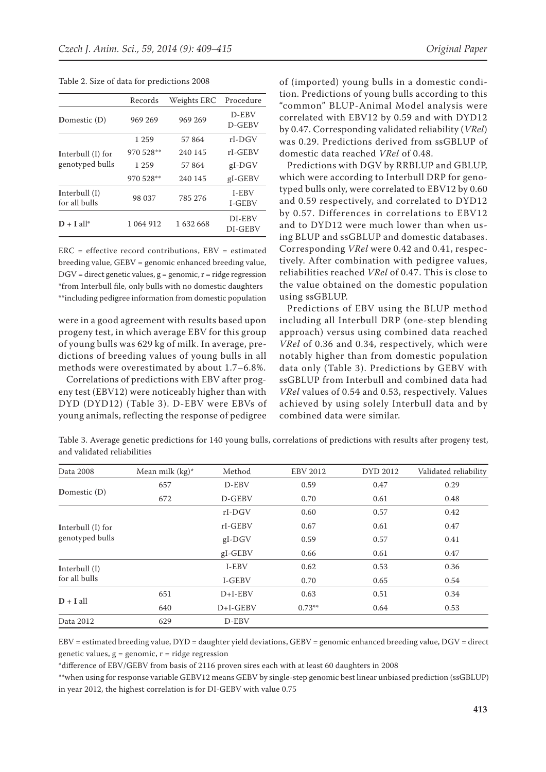|                                  | Records   | Weights ERC | Procedure                     |
|----------------------------------|-----------|-------------|-------------------------------|
| Domestic (D)                     | 969 269   | 969 269     | D-EBV<br>D-GEBV               |
|                                  | 1 2 5 9   | 57 864      | rI-DGV                        |
| Interbull (I) for                | 970 528** | 240 145     | rI-GEBV                       |
| genotyped bulls                  | 1 2 5 9   | 57 864      | gI-DGV                        |
|                                  | 970 528** | 240 145     | gI-GEBV                       |
| Interbull $(I)$<br>for all bulls | 98 037    | 785 276     | <b>I-EBV</b><br><b>I-GEBV</b> |
| $D + I$ all*                     | 1 064 912 | 1632668     | DI-EBV<br>DI-GEBV             |

ERC = effective record contributions, EBV = estimated breeding value, GEBV = genomic enhanced breeding value, DGV = direct genetic values, g = genomic, r = ridge regression \*from Interbull file, only bulls with no domestic daughters \*\*including pedigree information from domestic population

were in a good agreement with results based upon progeny test, in which average EBV for this group of young bulls was 629 kg of milk. In average, predictions of breeding values of young bulls in all methods were overestimated by about 1.7–6.8%.

Correlations of predictions with EBV after progeny test (EBV12) were noticeably higher than with DYD (DYD12) (Table 3). D-EBV were EBVs of young animals, reflecting the response of pedigree of (imported) young bulls in a domestic condition. Predictions of young bulls according to this "common" BLUP-Animal Model analysis were correlated with EBV12 by 0.59 and with DYD12 by 0.47. Corresponding validated reliability (*VRel*) was 0.29. Predictions derived from ssGBLUP of domestic data reached *VRel* of 0.48.

Predictions with DGV by RRBLUP and GBLUP, which were according to Interbull DRP for genotyped bulls only, were correlated to EBV12 by 0.60 and 0.59 respectively, and correlated to DYD12 by 0.57. Differences in correlations to EBV12 and to DYD12 were much lower than when using BLUP and ssGBLUP and domestic databases. Corresponding *VRel* were 0.42 and 0.41, respectively. After combination with pedigree values, reliabilities reached *VRel* of 0.47. This is close to the value obtained on the domestic population using ssGBLUP.

Predictions of EBV using the BLUP method including all Interbull DRP (one-step blending approach) versus using combined data reached *VRel* of 0.36 and 0.34, respectively, which were notably higher than from domestic population data only (Table 3). Predictions by GEBV with ssGBLUP from Interbull and combined data had *VRel* values of 0.54 and 0.53, respectively. Values achieved by using solely Interbull data and by combined data were similar.

Table 3. Average genetic predictions for 140 young bulls, correlations of predictions with results after progeny test, and validated reliabilities

| Data 2008                            | Mean milk $(kg)^*$ | Method     | EBV 2012 | DYD 2012 | Validated reliability |
|--------------------------------------|--------------------|------------|----------|----------|-----------------------|
| Domestic (D)                         | 657                | D-EBV      | 0.59     | 0.47     | 0.29                  |
|                                      | 672                | D-GEBV     | 0.70     | 0.61     | 0.48                  |
| Interbull (I) for<br>genotyped bulls |                    | $rI-DGV$   | 0.60     | 0.57     | 0.42                  |
|                                      |                    | rI-GEBV    | 0.67     | 0.61     | 0.47                  |
|                                      |                    | $gI-DGV$   | 0.59     | 0.57     | 0.41                  |
|                                      |                    | gI-GEBV    | 0.66     | 0.61     | 0.47                  |
| Interbull $(I)$<br>for all bulls     |                    | I-EBV      | 0.62     | 0.53     | 0.36                  |
|                                      |                    | I-GEBV     | 0.70     | 0.65     | 0.54                  |
| $D + I$ all                          | 651                | $D+I-EBV$  | 0.63     | 0.51     | 0.34                  |
|                                      | 640                | $D+I-GEBV$ | $0.73**$ | 0.64     | 0.53                  |
| Data 2012                            | 629                | D-EBV      |          |          |                       |

EBV = estimated breeding value, DYD = daughter yield deviations, GEBV = genomic enhanced breeding value, DGV = direct genetic values,  $g =$  genomic,  $r =$  ridge regression

\*difference of EBV/GEBV from basis of 2116 proven sires each with at least 60 daughters in 2008

\*\*when using for response variable GEBV12 means GEBV by single-step genomic best linear unbiased prediction (ssGBLUP) in year 2012, the highest correlation is for DI-GEBV with value 0.75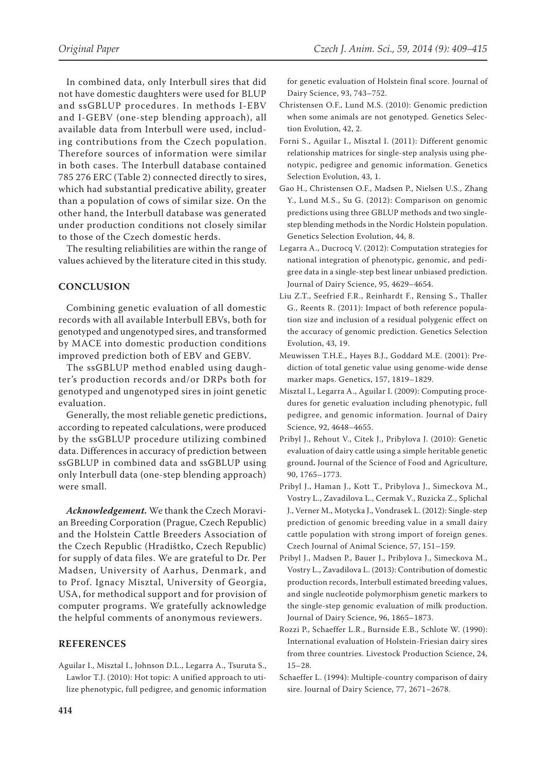In combined data, only Interbull sires that did not have domestic daughters were used for BLUP and ssGBLUP procedures. In methods I-EBV and I-GEBV (one-step blending approach), all available data from Interbull were used, including contributions from the Czech population. Therefore sources of information were similar in both cases. The Interbull database contained 785 276 ERC (Table 2) connected directly to sires, which had substantial predicative ability, greater than a population of cows of similar size. On the other hand, the Interbull database was generated under production conditions not closely similar to those of the Czech domestic herds.

The resulting reliabilities are within the range of values achieved by the literature cited in this study.

## **CONCLUSION**

Combining genetic evaluation of all domestic records with all available Interbull EBVs, both for genotyped and ungenotyped sires, and transformed by MACE into domestic production conditions improved prediction both of EBV and GEBV.

The ssGBLUP method enabled using daughter's production records and/or DRPs both for genotyped and ungenotyped sires in joint genetic evaluation.

Generally, the most reliable genetic predictions, according to repeated calculations, were produced by the ssGBLUP procedure utilizing combined data. Differences in accuracy of prediction between ssGBLUP in combined data and ssGBLUP using only Interbull data (one-step blending approach) were small.

*Acknowledgement.* We thank the Czech Moravian Breeding Corporation (Prague, Czech Republic) and the Holstein Cattle Breeders Association of the Czech Republic (Hradištko, Czech Republic) for supply of data files. We are grateful to Dr. Per Madsen, University of Aarhus, Denmark, and to Prof. Ignacy Misztal, University of Georgia, USA, for methodical support and for provision of computer programs. We gratefully acknowledge the helpful comments of anonymous reviewers.

#### **REFERENCES**

Aguilar I., Misztal I., Johnson D.L., Legarra A., Tsuruta S., Lawlor T.J. (2010): Hot topic: A unified approach to utilize phenotypic, full pedigree, and genomic information

for genetic evaluation of Holstein final score. Journal of Dairy Science, 93, 743–752.

- Christensen O.F., Lund M.S. (2010): Genomic prediction when some animals are not genotyped. Genetics Selection Evolution, 42, 2.
- Forni S., Aguilar I., Misztal I. (2011): Different genomic relationship matrices for single-step analysis using phenotypic, pedigree and genomic information. Genetics Selection Evolution, 43, 1.
- Gao H., Christensen O.F., Madsen P., Nielsen U.S., Zhang Y., Lund M.S., Su G. (2012): Comparison on genomic predictions using three GBLUP methods and two singlestep blending methods in the Nordic Holstein population. Genetics Selection Evolution, 44, 8.
- Legarra A., Ducrocq V. (2012): Computation strategies for national integration of phenotypic, genomic, and pedigree data in a single-step best linear unbiased prediction. Journal of Dairy Science, 95, 4629–4654.
- Liu Z.T., Seefried F.R., Reinhardt F., Rensing S., Thaller G., Reents R. (2011): Impact of both reference population size and inclusion of a residual polygenic effect on the accuracy of genomic prediction. Genetics Selection Evolution, 43, 19.
- Meuwissen T.H.E., Hayes B.J., Goddard M.E. (2001): Prediction of total genetic value using genome-wide dense marker maps. Genetics, 157, 1819–1829.
- Misztal I., Legarra A., Aguilar I. (2009): Computing procedures for genetic evaluation including phenotypic, full pedigree, and genomic information. Journal of Dairy Science, 92, 4648–4655.
- Pribyl J., Rehout V., Citek J., Pribylova J. (2010): Genetic evaluation of dairy cattle using a simple heritable genetic ground**.** Journal of the Science of Food and Agriculture, 90, 1765–1773.
- Pribyl J., Haman J., Kott T., Pribylova J., Simeckova M., Vostry L., Zavadilova L., Cermak V., Ruzicka Z., Splichal J., Verner M., Motycka J., Vondrasek L. (2012): Single-step prediction of genomic breeding value in a small dairy cattle population with strong import of foreign genes. Czech Journal of Animal Science, 57, 151–159.
- Pribyl J., Madsen P., Bauer J., Pribylova J., Simeckova M., Vostry L., Zavadilova L. (2013): Contribution of domestic production records, Interbull estimated breeding values, and single nucleotide polymorphism genetic markers to the single-step genomic evaluation of milk production. Journal of Dairy Science, 96, 1865–1873.
- Rozzi P., Schaeffer L.R., Burnside E.B., Schlote W. (1990): International evaluation of Holstein-Friesian dairy sires from three countries. Livestock Production Science, 24, 15–28.
- Schaeffer L. (1994): Multiple-country comparison of dairy sire. Journal of Dairy Science, 77, 2671–2678.